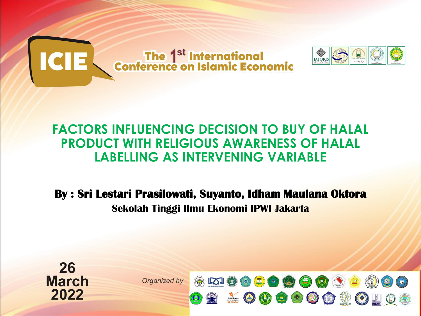

#### **FACTORS INFLUENCING DECISION TO BUY OF HALAL PRODUCT WITH RELIGIOUS AWARENESS OF HALAL LABELLING AS INTERVENING VARIABLE**

**By : Sri Lestari Prasilowati, Suyanto, Idham Maulana Oktora Sekolah Tinggi Ilmu Ekonomi IPWI Jakarta**

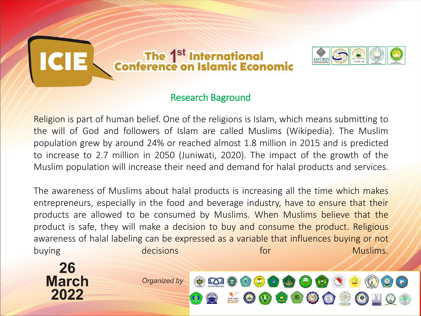

#### Research Baground

Religion is part of human belief. One of the religions is Islam, which means submitting to the will of God and followers of Islam are called Muslims (Wikipedia). The Muslim population grew by around 24% or reached almost 1.8 million in 2015 and is predicted to increase to 2.7 million in 2050 (Juniwati, 2020). The impact of the growth of the Muslim population will increase their need and demand for halal products and services.

The awareness of Muslims about halal products is increasing all the time which makes entrepreneurs, especially in the food and beverage industry, have to ensure that their products are allowed to be consumed by Muslims. When Muslims believe that the product is safe, they will make a decision to buy and consume the product. Religious awareness of halal labeling can be expressed as a variable that influences buying or not buying decisions for the Muslims.

**KOIO** 

 $\circ$  3  $\circ$  6  $\circ$ 

 $\left(\frac{\blacksquare}{\blacksquare}\right)$ 

£00

26 **March** 2022

Organized by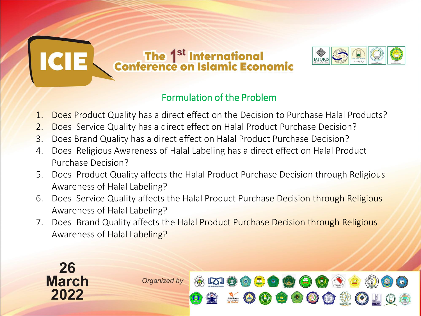

#### Formulation of the Problem

- 1. Does Product Quality has a direct effect on the Decision to Purchase Halal Products?
- 2. Does Service Quality has a direct effect on Halal Product Purchase Decision?
- 3. Does Brand Quality has a direct effect on Halal Product Purchase Decision?
- 4. Does Religious Awareness of Halal Labeling has a direct effect on Halal Product Purchase Decision?
- 5. Does Product Quality affects the Halal Product Purchase Decision through Religious Awareness of Halal Labeling?
- 6. Does Service Quality affects the Halal Product Purchase Decision through Religious Awareness of Halal Labeling?
- 7. Does Brand Quality affects the Halal Product Purchase Decision through Religious Awareness of Halal Labeling?

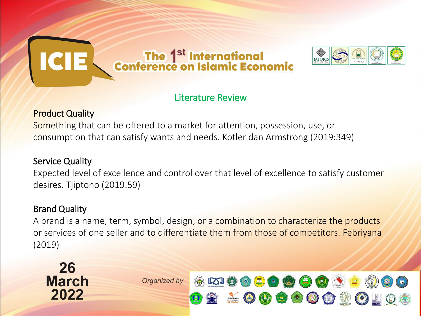

#### Literature Review

#### Product Quality

Something that can be offered to a market for attention, possession, use, or consumption that can satisfy wants and needs. Kotler dan Armstrong (2019:349)

#### Service Quality

Expected level of excellence and control over that level of excellence to satisfy customer desires. Tjiptono (2019:59)

#### Brand Quality

A brand is a name, term, symbol, design, or a combination to characterize the products or services of one seller and to differentiate them from those of competitors. Febriyana (2019)

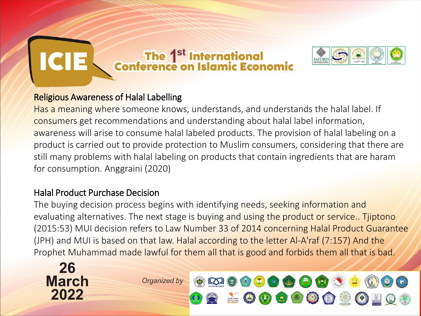

#### Religious Awareness of Halal Labelling

Has a meaning where someone knows, understands, and understands the halal label. If consumers get recommendations and understanding about halal label information, awareness will arise to consume halal labeled products. The provision of halal labeling on a product is carried out to provide protection to Muslim consumers, considering that there are still many problems with halal labeling on products that contain ingredients that are haram for consumption. Anggraini (2020)

#### Halal Product Purchase Decision

26

**March** 

2022

The buying decision process begins with identifying needs, seeking information and evaluating alternatives. The next stage is buying and using the product or service.. Tijptono (2015:53) MUI decision refers to Law Number 33 of 2014 concerning Halal Product Guarantee (JPH) and MUI is based on that law. Halal according to the letter Al-A'raf (7:157) And the Prophet Muhammad made lawful for them all that is good and forbids them all that is bad.

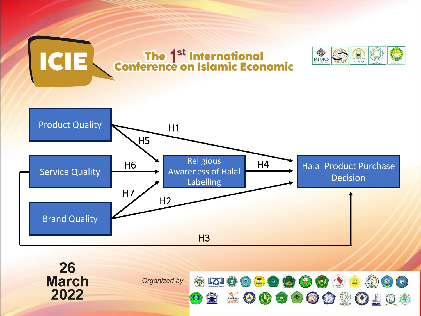

 $\frac{1}{\sin \theta}$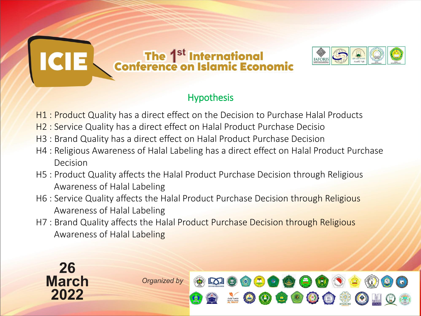

#### **Hypothesis**

- H1 : Product Quality has a direct effect on the Decision to Purchase Halal Products
- H2 : Service Quality has a direct effect on Halal Product Purchase Decisio
- H3 : Brand Quality has a direct effect on Halal Product Purchase Decision
- H4 : Religious Awareness of Halal Labeling has a direct effect on Halal Product Purchase Decision
- H5 : Product Quality affects the Halal Product Purchase Decision through Religious Awareness of Halal Labeling
- H6 : Service Quality affects the Halal Product Purchase Decision through Religious Awareness of Halal Labeling
- H7 : Brand Quality affects the Halal Product Purchase Decision through Religious Awareness of Halal Labeling